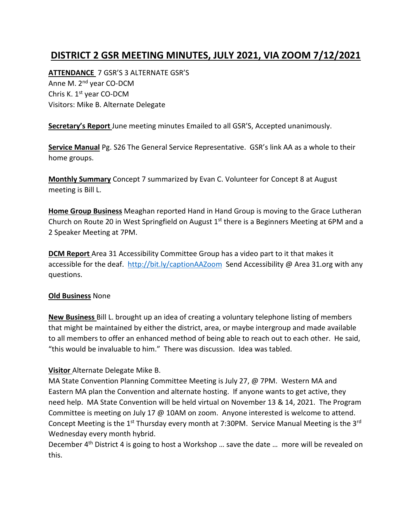## **DISTRICT 2 GSR MEETING MINUTES, JULY 2021, VIA ZOOM 7/12/2021**

**ATTENDANCE** 7 GSR'S 3 ALTERNATE GSR'S Anne M. 2<sup>nd</sup> year CO-DCM Chris K. 1st year CO-DCM Visitors: Mike B. Alternate Delegate

**Secretary's Report** June meeting minutes Emailed to all GSR'S, Accepted unanimously.

**Service Manual** Pg. S26 The General Service Representative. GSR's link AA as a whole to their home groups.

**Monthly Summary** Concept 7 summarized by Evan C. Volunteer for Concept 8 at August meeting is Bill L.

**Home Group Business** Meaghan reported Hand in Hand Group is moving to the Grace Lutheran Church on Route 20 in West Springfield on August 1<sup>st</sup> there is a Beginners Meeting at 6PM and a 2 Speaker Meeting at 7PM.

**DCM Report** Area 31 Accessibility Committee Group has a video part to it that makes it accessible for the deaf. <http://bit.ly/captionAAZoom>Send Accessibility @ Area 31.org with any questions.

## **Old Business** None

**New Business** Bill L. brought up an idea of creating a voluntary telephone listing of members that might be maintained by either the district, area, or maybe intergroup and made available to all members to offer an enhanced method of being able to reach out to each other. He said, "this would be invaluable to him." There was discussion. Idea was tabled.

## **Visitor** Alternate Delegate Mike B.

MA State Convention Planning Committee Meeting is July 27, @ 7PM. Western MA and Eastern MA plan the Convention and alternate hosting. If anyone wants to get active, they need help. MA State Convention will be held virtual on November 13 & 14, 2021. The Program Committee is meeting on July 17 @ 10AM on zoom. Anyone interested is welcome to attend. Concept Meeting is the 1<sup>st</sup> Thursday every month at 7:30PM. Service Manual Meeting is the 3<sup>rd</sup> Wednesday every month hybrid.

December 4<sup>th</sup> District 4 is going to host a Workshop ... save the date ... more will be revealed on this.